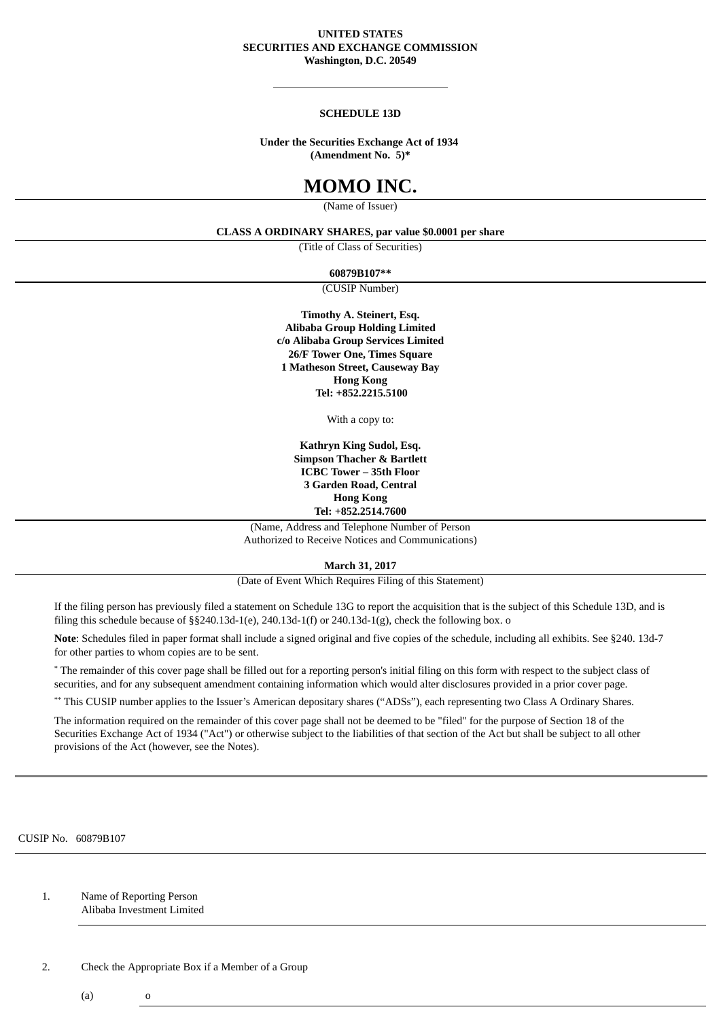#### **UNITED STATES SECURITIES AND EXCHANGE COMMISSION Washington, D.C. 20549**

#### **SCHEDULE 13D**

#### **Under the Securities Exchange Act of 1934 (Amendment No. 5)\***

# **MOMO INC.**

(Name of Issuer)

## **CLASS A ORDINARY SHARES, par value \$0.0001 per share**

(Title of Class of Securities)

**60879B107\*\***

(CUSIP Number)

**Timothy A. Steinert, Esq. Alibaba Group Holding Limited c/o Alibaba Group Services Limited 26/F Tower One, Times Square 1 Matheson Street, Causeway Bay Hong Kong Tel: +852.2215.5100**

With a copy to:

**Kathryn King Sudol, Esq. Simpson Thacher & Bartlett ICBC Tower – 35th Floor 3 Garden Road, Central Hong Kong Tel: +852.2514.7600**

(Name, Address and Telephone Number of Person Authorized to Receive Notices and Communications)

**March 31, 2017**

(Date of Event Which Requires Filing of this Statement)

If the filing person has previously filed a statement on Schedule 13G to report the acquisition that is the subject of this Schedule 13D, and is filing this schedule because of  $\S$ §240.13d-1(e), 240.13d-1(f) or 240.13d-1(g), check the following box. o

**Note**: Schedules filed in paper format shall include a signed original and five copies of the schedule, including all exhibits. See §240. 13d-7 for other parties to whom copies are to be sent.

\* The remainder of this cover page shall be filled out for a reporting person's initial filing on this form with respect to the subject class of securities, and for any subsequent amendment containing information which would alter disclosures provided in a prior cover page.

\*\* This CUSIP number applies to the Issuer's American depositary shares ("ADSs"), each representing two Class A Ordinary Shares.

The information required on the remainder of this cover page shall not be deemed to be "filed" for the purpose of Section 18 of the Securities Exchange Act of 1934 ("Act") or otherwise subject to the liabilities of that section of the Act but shall be subject to all other provisions of the Act (however, see the Notes).

CUSIP No. 60879B107

1. Name of Reporting Person Alibaba Investment Limited

2. Check the Appropriate Box if a Member of a Group

 $(a)$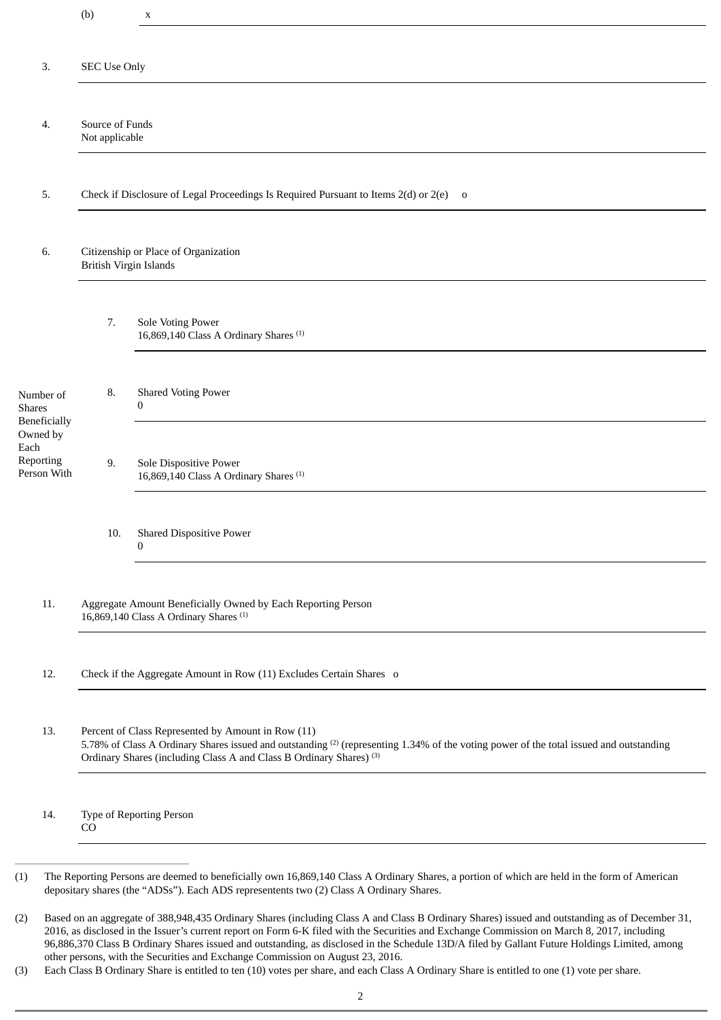|                                              | (b)                                                                                                                                                                                                                                                                                        | X                                                                           |  |
|----------------------------------------------|--------------------------------------------------------------------------------------------------------------------------------------------------------------------------------------------------------------------------------------------------------------------------------------------|-----------------------------------------------------------------------------|--|
| 3.                                           | <b>SEC Use Only</b>                                                                                                                                                                                                                                                                        |                                                                             |  |
|                                              |                                                                                                                                                                                                                                                                                            |                                                                             |  |
| 4.                                           | Source of Funds<br>Not applicable                                                                                                                                                                                                                                                          |                                                                             |  |
| 5.                                           | Check if Disclosure of Legal Proceedings Is Required Pursuant to Items 2(d) or 2(e) o                                                                                                                                                                                                      |                                                                             |  |
| 6.                                           | Citizenship or Place of Organization<br>British Virgin Islands                                                                                                                                                                                                                             |                                                                             |  |
|                                              | 7.                                                                                                                                                                                                                                                                                         | Sole Voting Power<br>16,869,140 Class A Ordinary Shares <sup>(1)</sup>      |  |
| Number of<br><b>Shares</b><br>Beneficially   | 8.                                                                                                                                                                                                                                                                                         | <b>Shared Voting Power</b><br>0                                             |  |
| Owned by<br>Each<br>Reporting<br>Person With | 9.                                                                                                                                                                                                                                                                                         | Sole Dispositive Power<br>16,869,140 Class A Ordinary Shares <sup>(1)</sup> |  |
|                                              | 10.                                                                                                                                                                                                                                                                                        | <b>Shared Dispositive Power</b><br>$\mathbf{0}$                             |  |
| 11.                                          | Aggregate Amount Beneficially Owned by Each Reporting Person<br>16,869,140 Class A Ordinary Shares <sup>(1)</sup>                                                                                                                                                                          |                                                                             |  |
| 12.                                          | Check if the Aggregate Amount in Row (11) Excludes Certain Shares o                                                                                                                                                                                                                        |                                                                             |  |
| 13.                                          | Percent of Class Represented by Amount in Row (11)<br>5.78% of Class A Ordinary Shares issued and outstanding <sup>(2)</sup> (representing 1.34% of the voting power of the total issued and outstanding<br>Ordinary Shares (including Class A and Class B Ordinary Shares) <sup>(3)</sup> |                                                                             |  |
| 14.                                          | Type of Reporting Person<br>CO                                                                                                                                                                                                                                                             |                                                                             |  |

<sup>(2)</sup> Based on an aggregate of 388,948,435 Ordinary Shares (including Class A and Class B Ordinary Shares) issued and outstanding as of December 31, 2016, as disclosed in the Issuer's current report on Form 6-K filed with the Securities and Exchange Commission on March 8, 2017, including 96,886,370 Class B Ordinary Shares issued and outstanding, as disclosed in the Schedule 13D/A filed by Gallant Future Holdings Limited, among other persons, with the Securities and Exchange Commission on August 23, 2016.

<sup>(3)</sup> Each Class B Ordinary Share is entitled to ten (10) votes per share, and each Class A Ordinary Share is entitled to one (1) vote per share.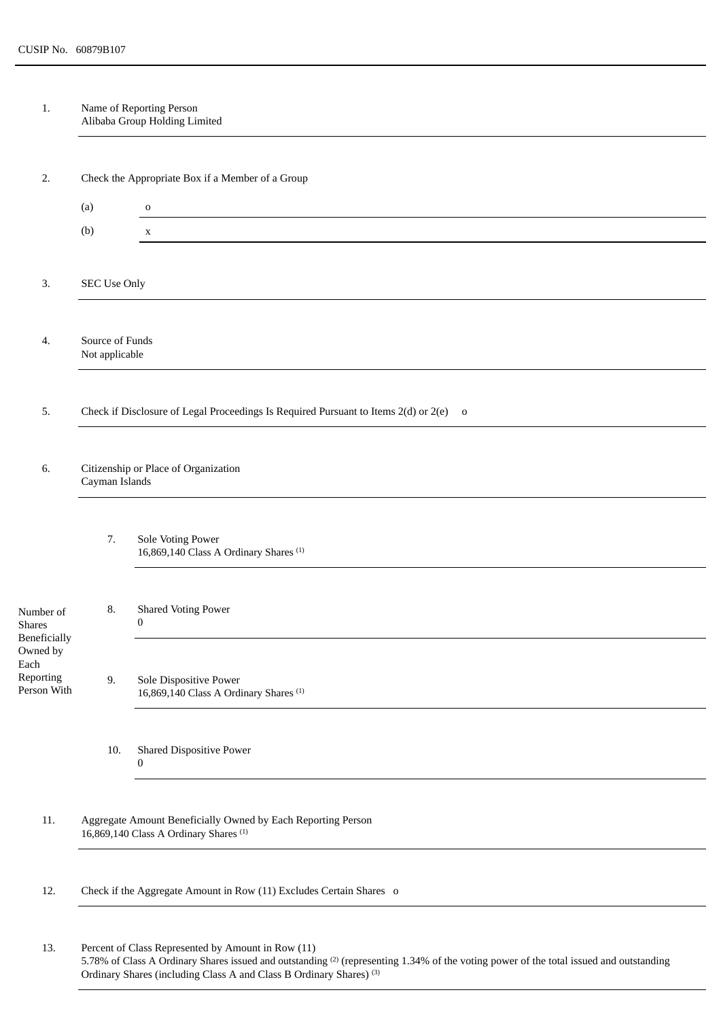1. Name of Reporting Person Alibaba Group Holding Limited

| 2.                                           | Check the Appropriate Box if a Member of a Group                                                                  |                                                                             |  |  |
|----------------------------------------------|-------------------------------------------------------------------------------------------------------------------|-----------------------------------------------------------------------------|--|--|
|                                              | (a)                                                                                                               | $\mathbf O$                                                                 |  |  |
|                                              | (b)                                                                                                               | $\mathbf{X}$                                                                |  |  |
|                                              |                                                                                                                   |                                                                             |  |  |
| 3.                                           | SEC Use Only                                                                                                      |                                                                             |  |  |
|                                              |                                                                                                                   |                                                                             |  |  |
| 4.                                           | Source of Funds<br>Not applicable                                                                                 |                                                                             |  |  |
|                                              |                                                                                                                   |                                                                             |  |  |
| 5.                                           | Check if Disclosure of Legal Proceedings Is Required Pursuant to Items 2(d) or 2(e) o                             |                                                                             |  |  |
|                                              |                                                                                                                   |                                                                             |  |  |
| 6.                                           | Citizenship or Place of Organization<br>Cayman Islands                                                            |                                                                             |  |  |
|                                              |                                                                                                                   |                                                                             |  |  |
|                                              | 7.                                                                                                                | Sole Voting Power<br>16,869,140 Class A Ordinary Shares <sup>(1)</sup>      |  |  |
| Number of<br><b>Shares</b><br>Beneficially   | 8.                                                                                                                | <b>Shared Voting Power</b><br>$\boldsymbol{0}$                              |  |  |
| Owned by<br>Each<br>Reporting<br>Person With | 9.                                                                                                                | Sole Dispositive Power<br>16,869,140 Class A Ordinary Shares <sup>(1)</sup> |  |  |
|                                              | 10.                                                                                                               | <b>Shared Dispositive Power</b><br>0                                        |  |  |
| 11.                                          | Aggregate Amount Beneficially Owned by Each Reporting Person<br>16,869,140 Class A Ordinary Shares <sup>(1)</sup> |                                                                             |  |  |
| 12.                                          | Check if the Aggregate Amount in Row (11) Excludes Certain Shares o                                               |                                                                             |  |  |
| 13.                                          | Percent of Class Represented by Amount in Row (11)                                                                |                                                                             |  |  |

<sup>5.78%</sup> of Class A Ordinary Shares issued and outstanding  $^{(2)}$  (representing 1.34% of the voting power of the total issued and outstanding Ordinary Shares (including Class A and Class B Ordinary Shares) (3)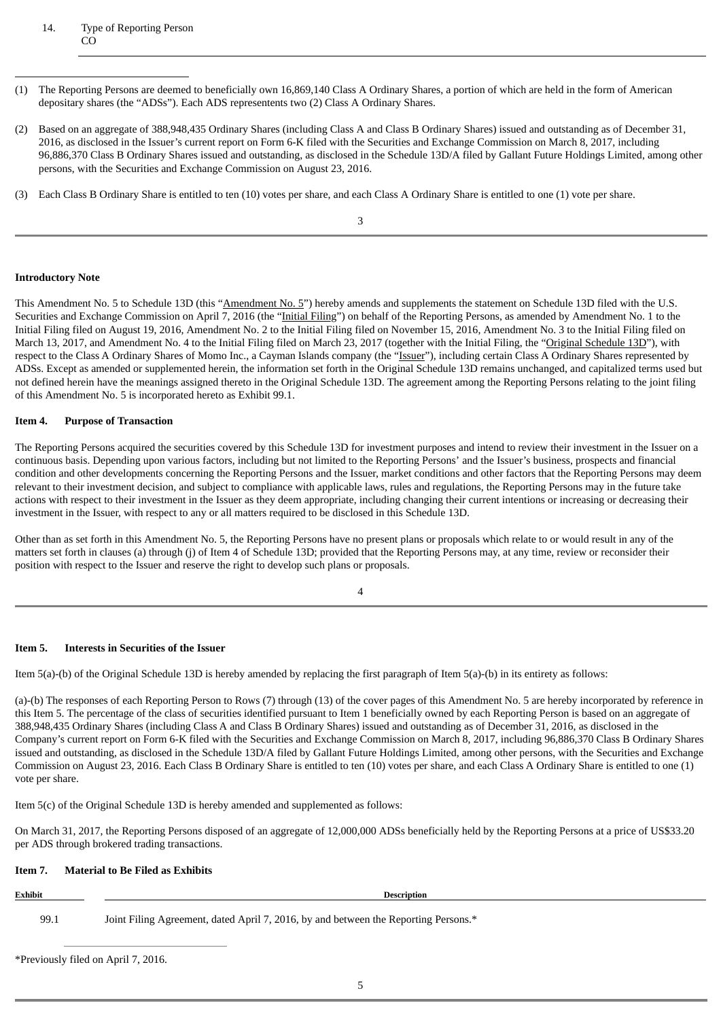### 14. Type of Reporting Person CO

- (1) The Reporting Persons are deemed to beneficially own 16,869,140 Class A Ordinary Shares, a portion of which are held in the form of American depositary shares (the "ADSs"). Each ADS representents two (2) Class A Ordinary Shares.
- (2) Based on an aggregate of 388,948,435 Ordinary Shares (including Class A and Class B Ordinary Shares) issued and outstanding as of December 31, 2016, as disclosed in the Issuer's current report on Form 6-K filed with the Securities and Exchange Commission on March 8, 2017, including 96,886,370 Class B Ordinary Shares issued and outstanding, as disclosed in the Schedule 13D/A filed by Gallant Future Holdings Limited, among other persons, with the Securities and Exchange Commission on August 23, 2016.
- (3) Each Class B Ordinary Share is entitled to ten (10) votes per share, and each Class A Ordinary Share is entitled to one (1) vote per share.

3

#### **Introductory Note**

This Amendment No. 5 to Schedule 13D (this "Amendment No. 5") hereby amends and supplements the statement on Schedule 13D filed with the U.S. Securities and Exchange Commission on April 7, 2016 (the "Initial Filing") on behalf of the Reporting Persons, as amended by Amendment No. 1 to the Initial Filing filed on August 19, 2016, Amendment No. 2 to the Initial Filing filed on November 15, 2016, Amendment No. 3 to the Initial Filing filed on March 13, 2017, and Amendment No. 4 to the Initial Filing filed on March 23, 2017 (together with the Initial Filing, the "Original Schedule 13D"), with respect to the Class A Ordinary Shares of Momo Inc., a Cayman Islands company (the "Issuer"), including certain Class A Ordinary Shares represented by ADSs. Except as amended or supplemented herein, the information set forth in the Original Schedule 13D remains unchanged, and capitalized terms used but not defined herein have the meanings assigned thereto in the Original Schedule 13D. The agreement among the Reporting Persons relating to the joint filing of this Amendment No. 5 is incorporated hereto as Exhibit 99.1.

#### **Item 4. Purpose of Transaction**

The Reporting Persons acquired the securities covered by this Schedule 13D for investment purposes and intend to review their investment in the Issuer on a continuous basis. Depending upon various factors, including but not limited to the Reporting Persons' and the Issuer's business, prospects and financial condition and other developments concerning the Reporting Persons and the Issuer, market conditions and other factors that the Reporting Persons may deem relevant to their investment decision, and subject to compliance with applicable laws, rules and regulations, the Reporting Persons may in the future take actions with respect to their investment in the Issuer as they deem appropriate, including changing their current intentions or increasing or decreasing their investment in the Issuer, with respect to any or all matters required to be disclosed in this Schedule 13D.

Other than as set forth in this Amendment No. 5, the Reporting Persons have no present plans or proposals which relate to or would result in any of the matters set forth in clauses (a) through (j) of Item 4 of Schedule 13D; provided that the Reporting Persons may, at any time, review or reconsider their position with respect to the Issuer and reserve the right to develop such plans or proposals.

4

## **Item 5. Interests in Securities of the Issuer**

Item 5(a)-(b) of the Original Schedule 13D is hereby amended by replacing the first paragraph of Item 5(a)-(b) in its entirety as follows:

(a)-(b) The responses of each Reporting Person to Rows (7) through (13) of the cover pages of this Amendment No. 5 are hereby incorporated by reference in this Item 5. The percentage of the class of securities identified pursuant to Item 1 beneficially owned by each Reporting Person is based on an aggregate of 388,948,435 Ordinary Shares (including Class A and Class B Ordinary Shares) issued and outstanding as of December 31, 2016, as disclosed in the Company's current report on Form 6-K filed with the Securities and Exchange Commission on March 8, 2017, including 96,886,370 Class B Ordinary Shares issued and outstanding, as disclosed in the Schedule 13D/A filed by Gallant Future Holdings Limited, among other persons, with the Securities and Exchange Commission on August 23, 2016. Each Class B Ordinary Share is entitled to ten (10) votes per share, and each Class A Ordinary Share is entitled to one (1) vote per share.

Item 5(c) of the Original Schedule 13D is hereby amended and supplemented as follows:

On March 31, 2017, the Reporting Persons disposed of an aggregate of 12,000,000 ADSs beneficially held by the Reporting Persons at a price of US\$33.20 per ADS through brokered trading transactions.

# **Item 7. Material to Be Filed as Exhibits**

# **Exhibit Description**

99.1 Joint Filing Agreement, dated April 7, 2016, by and between the Reporting Persons.\*

\*Previously filed on April 7, 2016.